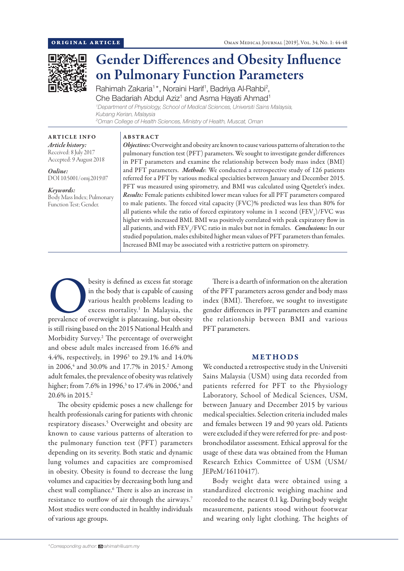

# Gender Differences and Obesity Influence on Pulmonary Function Parameters

Rahimah Zakaria<sup>1\*</sup>, Noraini Harif<sup>1</sup>, Badriya Al-Rahbi<sup>2</sup>, Che Badariah Abdul Aziz<sup>1</sup> and Asma Hayati Ahmad<sup>1</sup>

*1 Department of Physiology, School of Medical Sciences, Universiti Sains Malaysia, Kubang Kerian, Malaysia 2 Oman College of Health Sciences, Ministry of Health, Muscat, Oman*

ABSTRACT

ARTICLE INFO *Article history:* Received: 8 July 2017 Accepted: 9 August 2018

*Online:* DOI 10.5001/omj.2019.07

*Keywords:*  Body Mass Index; Pulmonary Function Test; Gender.

*Objectives:* Overweight and obesity are known to cause various patterns of alteration to the pulmonary function test (PFT) parameters. We sought to investigate gender differences in PFT parameters and examine the relationship between body mass index (BMI) and PFT parameters. *Methods*: We conducted a retrospective study of 126 patients referred for a PFT by various medical specialties between January and December 2015. PFT was measured using spirometry, and BMI was calculated using Quetelet's index. *Results:* Female patients exhibited lower mean values for all PFT parameters compared to male patients. The forced vital capacity (FVC)% predicted was less than 80% for all patients while the ratio of forced expiratory volume in 1 second  $(\text{FEV}_1)/\text{FVC}$  was higher with increased BMI. BMI was positively correlated with peak expiratory flow in all patients, and with  $\mathrm{FEV}_\mathrm{1}/\mathrm{FVC}$  ratio in males but not in females. *Conclusions:* In our studied population, males exhibited higher mean values of PFT parameters than females. Increased BMI may be associated with a restrictive pattern on spirometry.

besity is defined as excess fat storage<br>in the body that is capable of causing<br>various health problems leading to<br>excess mortality.<sup>1</sup> In Malaysia, the<br>prevalence of overweight is plateauing, but obesity in the body that is capable of causing various health problems leading to excess mortality.<sup>1</sup> In Malaysia, the is still rising based on the 2015 National Health and Morbidity Survey.2 The percentage of overweight and obese adult males increased from 16.6% and 4.4%, respectively, in  $1996^3$  to 29.1% and  $14.0\%$ in 2006,<sup>4</sup> and 30.0% and 17.7% in 2015.<sup>2</sup> Among adult females, the prevalence of obesity was relatively higher; from 7.6% in 1996,<sup>3</sup> to 17.4% in 2006,<sup>4</sup> and 20.6% in 2015.2

The obesity epidemic poses a new challenge for health professionals caring for patients with chronic respiratory diseases.5 Overweight and obesity are known to cause various patterns of alteration to the pulmonary function test (PFT) parameters depending on its severity. Both static and dynamic lung volumes and capacities are compromised in obesity. Obesity is found to decrease the lung volumes and capacities by decreasing both lung and chest wall compliance.6 There is also an increase in resistance to outflow of air through the airways.7 Most studies were conducted in healthy individuals of various age groups.

There is a dearth of information on the alteration of the PFT parameters across gender and body mass index (BMI). Therefore, we sought to investigate gender differences in PFT parameters and examine the relationship between BMI and various PFT parameters.

## METHODS

We conducted a retrospective study in the Universiti Sains Malaysia (USM) using data recorded from patients referred for PFT to the Physiology Laboratory, School of Medical Sciences, USM, between January and December 2015 by various medical specialties. Selection criteria included males and females between 19 and 90 years old. Patients were excluded if they were referred for pre- and postbronchodilator assessment. Ethical approval for the usage of these data was obtained from the Human Research Ethics Committee of USM (USM/ JEPeM/16110417).

Body weight data were obtained using a standardized electronic weighing machine and recorded to the nearest 0.1 kg. During body weight measurement, patients stood without footwear and wearing only light clothing. The heights of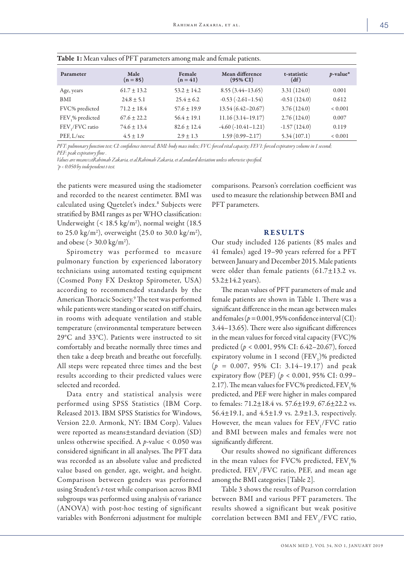| Parameter       | Male<br>$(n = 85)$ | Female<br>$(n = 41)$ | Mean difference<br>$(95\% \text{ CI})$ | t-statistic<br>(df) | $p$ -value* |
|-----------------|--------------------|----------------------|----------------------------------------|---------------------|-------------|
| Age, years      | $61.7 + 13.2$      | $53.2 \pm 14.2$      | $8.55(3.44 - 13.65)$                   | 3.31(124.0)         | 0.001       |
| <b>BMI</b>      | $24.8 + 5.1$       | $25.4 + 6.2$         | $-0.53(-2.61-1.54)$                    | $-0.51(124.0)$      | 0.612       |
| FVC% predicted  | $71.2 \pm 18.4$    | $57.6 \pm 19.9$      | 13.54 (6.42-20.67)                     | 3.76(124.0)         | ${}< 0.001$ |
| FEV,% predicted | $67.6 + 22.2$      | $56.4 \pm 19.1$      | $11.16(3.14 - 19.17)$                  | 2.76(124.0)         | 0.007       |
| FEV / FVC ratio | $74.6 \pm 13.4$    | $82.6 + 12.4$        | $-4.60$ $(-10.41 - 1.21)$              | $-1.57(124.0)$      | 0.119       |
| PEF, L/sec      | $4.5 \pm 1.9$      | $2.9 \pm 1.3$        | $1.59(0.99 - 2.17)$                    | 5.34(107.1)         | ${}< 0.001$ |

| Table 1: Mean values of PFT parameters among male and female patients. |  |  |
|------------------------------------------------------------------------|--|--|
|------------------------------------------------------------------------|--|--|

*PFT: pulmonary function test; CI: confidence interval; BMI: body mass index; FVC: forced vital capacity; FEV1: forced expiratory volume in 1 second; PEF: peak expiratory flow .*

*Values are means±stRahimah Zakaria, et al.Rahimah Zakaria, et al.andard deviation unless otherwise specified. \*p < 0.050 by independent t-test.*

the patients were measured using the stadiometer and recorded to the nearest centimeter. BMI was calculated using Quetelet's index.<sup>8</sup> Subjects were stratified by BMI ranges as per WHO classification: Underweight  $(< 18.5 \text{ kg/m}^2)$ , normal weight (18.5) to 25.0 kg/m<sup>2</sup>), overweight (25.0 to 30.0 kg/m<sup>2</sup>), and obese ( $>$  30.0 kg/m<sup>2</sup>).

Spirometry was performed to measure pulmonary function by experienced laboratory technicians using automated testing equipment (Cosmed Pony FX Desktop Spirometer, USA) according to recommended standards by the American Thoracic Society.<sup>9</sup> The test was performed while patients were standing or seated on stiff chairs, in rooms with adequate ventilation and stable temperature (environmental temperature between 29°C and 33°C). Patients were instructed to sit comfortably and breathe normally three times and then take a deep breath and breathe out forcefully. All steps were repeated three times and the best results according to their predicted values were selected and recorded.

Data entry and statistical analysis were performed using SPSS Statistics (IBM Corp. Released 2013. IBM SPSS Statistics for Windows, Version 22.0. Armonk, NY: IBM Corp). Values were reported as means±standard deviation (SD) unless otherwise specified. A *p*-value < 0.050 was considered significant in all analyses. The PFT data was recorded as an absolute value and predicted value based on gender, age, weight, and height. Comparison between genders was performed using Student's *t*-test while comparison across BMI subgroups was performed using analysis of variance (ANOVA) with post-hoc testing of significant variables with Bonferroni adjustment for multiple comparisons. Pearson's correlation coefficient was used to measure the relationship between BMI and PFT parameters.

## RESULTS

Our study included 126 patients (85 males and 41 females) aged 19–90 years referred for a PFT between January and December 2015. Male patients were older than female patients  $(61.7 \pm 13.2 \text{ vs.}$  $53.2 \pm 14.2$  years).

The mean values of PFT parameters of male and female patients are shown in Table 1. There was a significant difference in the mean age between males and females ( $p = 0.001$ , 95% confidence interval (CI): 3.44–13.65). There were also significant differences in the mean values for forced vital capacity (FVC)% predicted (*p* < 0.001, 95% CI: 6.42–20.67), forced expiratory volume in 1 second  $(FEV_1)\%$  predicted (*p =* 0.007, 95% CI: 3.14–19.17) and peak expiratory flow (PEF) (*p* < 0.001, 95% CI: 0.99– 2.17). The mean values for FVC% predicted,  $\rm FEV_1\%$ predicted, and PEF were higher in males compared to females: 71.2±18.4 vs. 57.6±19.9, 67.6±22.2 vs. 56.4 $\pm$ 19.1, and 4.5 $\pm$ 1.9 vs. 2.9 $\pm$ 1.3, respectively. However, the mean values for  $\rm FEV_{1}/FVC$  ratio and BMI between males and females were not significantly different.

Our results showed no significant differences in the mean values for FVC% predicted,  $\rm FEV_1\%$ predicted,  $\text{FEV}_1/\text{FVC}$  ratio, PEF, and mean age among the BMI categories [Table 2].

Table 3 shows the results of Pearson correlation between BMI and various PFT parameters. The results showed a significant but weak positive correlation between BMI and  $\text{FEV}_1/\text{FVC}$  ratio,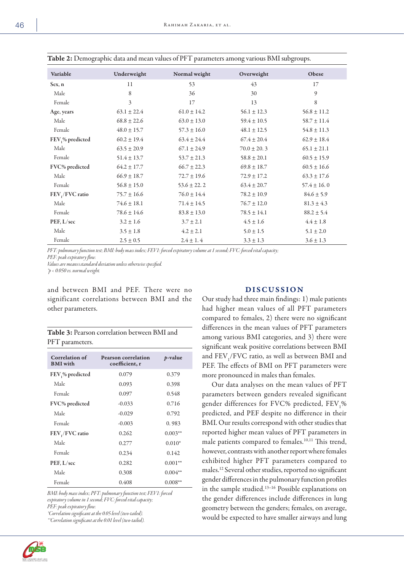| $\sigma$ T                   |                 |                 | $\sigma$        |                 |
|------------------------------|-----------------|-----------------|-----------------|-----------------|
| Variable                     | Underweight     | Normal weight   | Overweight      | Obese           |
| Sex, n                       | 11              | 53              | 43              | 17              |
| Male                         | 8               | 36              | 30              | 9               |
| Female                       | 3               | 17              | 13              | 8               |
| Age, years                   | $63.1 \pm 22.4$ | $61.0 \pm 14.2$ | $56.1 \pm 12.3$ | $56.8 \pm 11.2$ |
| Male                         | $68.8 \pm 22.6$ | $63.0 \pm 13.0$ | $59.4 \pm 10.5$ | $58.7 \pm 11.4$ |
| Female                       | $48.0 \pm 15.7$ | $57.3 \pm 16.0$ | $48.1 \pm 12.5$ | $54.8 \pm 11.3$ |
| FEV <sub>1</sub> % predicted | $60.2 \pm 19.4$ | $63.4 \pm 24.4$ | $67.4 \pm 20.4$ | $62.9 \pm 18.4$ |
| Male                         | $63.5 \pm 20.9$ | $67.1 \pm 24.9$ | $70.0 \pm 20.3$ | $65.1 \pm 21.1$ |
| Female                       | $51.4 \pm 13.7$ | $53.7 \pm 21.3$ | $58.8 \pm 20.1$ | $60.5 \pm 15.9$ |
| FVC% predicted               | $64.2 \pm 17.7$ | $66.7 \pm 22.3$ | $69.8 \pm 18.7$ | $60.5 \pm 16.6$ |
| Male                         | $66.9 \pm 18.7$ | $72.7 \pm 19.6$ | $72.9 \pm 17.2$ | $63.3 \pm 17.6$ |
| Female                       | $56.8 \pm 15.0$ | $53.6 \pm 22.2$ | $63.4 \pm 20.7$ | $57.4 \pm 16.0$ |
| FEV,/FVC ratio               | $75.7 \pm 16.6$ | $76.0 \pm 14.4$ | $78.2 \pm 10.9$ | $84.6 \pm 5.9$  |
| Male                         | $74.6 \pm 18.1$ | $71.4 \pm 14.5$ | $76.7 \pm 12.0$ | $81.3 \pm 4.3$  |
| Female                       | $78.6 \pm 14.6$ | $83.8 \pm 13.0$ | $78.5 \pm 14.1$ | $88.2 \pm 5.4$  |
| PEF, L/sec                   | $3.2 \pm 1.6$   | $3.7 \pm 2.1$   | $4.5 \pm 1.6$   | $4.4 \pm 1.8$   |
| Male                         | $3.5 \pm 1.8$   | $4.2 \pm 2.1$   | $5.0 \pm 1.5$   | $5.1 \pm 2.0$   |
| Female                       | $2.5 \pm 0.5$   | $2.4 \pm 1.4$   | $3.3 \pm 1.3$   | $3.6 \pm 1.3$   |

Table 2: Demographic data and mean values of PFT parameters among various BMI subgroups.

*PFT: pulmonary function test; BMI: body mass index; FEV1: forced expiratory volume at 1 second; FVC: forced vital capacity; PEF: peak expiratory flow.* 

*Values are means±standard deviation unless otherwise specified.*

*\*p < 0.050 vs. normal weight.*

and between BMI and PEF. There were no significant correlations between BMI and the other parameters.

Table 3: Pearson correlation between BMI and PFT parameters.

| Correlation of<br><b>BMI</b> with | <b>Pearson correlation</b><br>coefficient, r | <i>p</i> -value |
|-----------------------------------|----------------------------------------------|-----------------|
| FEV <sub>1</sub> % predicted      | 0.079                                        | 0.379           |
| Male                              | 0.093                                        | 0.398           |
| Female                            | 0.097                                        | 0.548           |
| FVC% predicted                    | $-0.033$                                     | 0.716           |
| Male                              | $-0.029$                                     | 0.792           |
| Female                            | $-0.003$                                     | 0.983           |
| FEV / FVC ratio                   | 0.262                                        | $0.003**$       |
| Male                              | 0.277                                        | $0.010*$        |
| Female                            | 0.234                                        | 0.142           |
| PEF, L/sec                        | 0.282                                        | $0.001**$       |
| Male                              | 0.308                                        | $0.004**$       |
| Female                            | 0.408                                        | $0.008**$       |

*BMI: body mass index; PFT: pulmonary function test; FEV1: forced expiratory volume in 1 second; FVC: forced vital capacity; PEF: peak expiratory flow.*

*\*Correlation significant at the 0.05 level (two-tailed).*

*\*\*Correlation significant at the 0.01 level (two-tailed).*



## DISCUSSION

Our study had three main findings: 1) male patients had higher mean values of all PFT parameters compared to females, 2) there were no significant differences in the mean values of PFT parameters among various BMI categories, and 3) there were significant weak positive correlations between BMI and  $\rm FEV_{1}/FVC$  ratio, as well as between BMI and PEF. The effects of BMI on PFT parameters were more pronounced in males than females.

Our data analyses on the mean values of PFT parameters between genders revealed significant gender differences for FVC% predicted,  $\rm FEV_1\%$ predicted, and PEF despite no difference in their BMI. Our results correspond with other studies that reported higher mean values of PFT parameters in male patients compared to females.<sup>10,11</sup> This trend, however, contrasts with another report where females exhibited higher PFT parameters compared to males.12 Several other studies, reported no significant gender differences in the pulmonary function profiles in the sample studied.13–16 Possible explanations on the gender differences include differences in lung geometry between the genders; females, on average, would be expected to have smaller airways and lung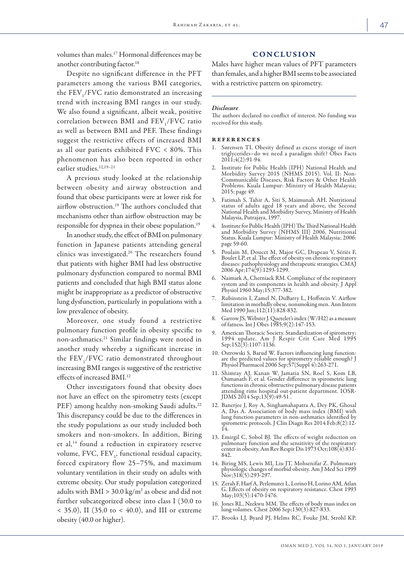volumes than males.17 Hormonal differences may be another contributing factor.18

# Despite no significant difference in the PFT parameters among the various BMI categories, the  $\mathrm{FEV}_1/\mathrm{FVC}$  ratio demonstrated an increasing trend with increasing BMI ranges in our study. We also found a significant, albeit weak, positive correlation between BMI and  $\rm FEV_{1}/FVC$  ratio as well as between BMI and PEF. These findings suggest the restrictive effects of increased BMI as all our patients exhibited FVC < 80%. This phenomenon has also been reported in other earlier studies.<sup>12,19-21</sup>

A previous study looked at the relationship between obesity and airway obstruction and found that obese participants were at lower risk for airflow obstruction.19 The authors concluded that mechanisms other than airflow obstruction may be responsible for dyspnea in their obese population.19

In another study, the effect of BMI on pulmonary function in Japanese patients attending general clinics was investigated.20 The researchers found that patients with higher BMI had less obstructive pulmonary dysfunction compared to normal BMI patients and concluded that high BMI status alone might be inappropriate as a predictor of obstructive lung dysfunction, particularly in populations with a low prevalence of obesity.

Moreover, one study found a restrictive pulmonary function profile in obesity specific to non-asthmatics.21 Similar findings were noted in another study whereby a significant increase in the  $\rm FEV_{1}/FVC$  ratio demonstrated throughout increasing BMI ranges is suggestive of the restrictive effects of increased BMI.<sup>12</sup>

Other investigators found that obesity does not have an effect on the spirometry tests (except PEF) among healthy non-smoking Saudi adults.<sup>22</sup> This discrepancy could be due to the differences in the study populations as our study included both smokers and non-smokers. In addition, Biring et al,14 found a reduction in expiratory reserve volume, FVC, FEV<sub>1</sub>, functional residual capacity, forced expiratory flow 25–75%, and maximum voluntary ventilation in their study on adults with extreme obesity. Our study population categorized adults with  $\text{BMI} > 30.0 \text{ kg/m}^2$  as obese and did not further subcategorized obese into class I (30.0 to  $<$  35.0), II (35.0 to  $<$  40.0), and III or extreme obesity (40.0 or higher).

## **CONCLUSION**

Males have higher mean values of PFT parameters than females, and a higher BMI seems to be associated with a restrictive pattern on spirometry.

### *Disclosure*

The authors declared no conflict of interest. No funding was received for this study.

#### references

- 1. Sørensen TI. Obesity defined as excess storage of inert triglycerides–do we need a paradigm shift? Obes Facts  $2011;4(2):91-94.$
- 2. Institute for Public Health (IPH) National Health and Morbidity Survey 2015 (NHMS 2015). Vol. II: Non-Communicable Diseases, Risk Factors & Other Health Problems. Kuala Lumpur: Ministry of Health Malaysia; 2015: page 49.
- 3. Fatimah S, Tahir A, Siti S, Maimunah AH. Nutritional status of adults aged 18 years and above, the Second National Health and Morbidity Survey, Ministry of Health Malaysia, Putrajaya, 1997.
- 4. Institute for Public Health (IPH) The Third National Health and Morbidity Survey (NHMS III) 2006, Nutritional Status. Kuala Lumpur: Ministry of Health Malaysia; 2006: page 59-60.
- 5. Poulain M, Doucet M, Major GC, Drapeau V, Sériès F, Boulet LP, et al. The effect of obesity on chronic respiratory diseases: pathophysiology and therapeutic strategies. CMAJ 2006 Apr;174(9):1293-1299.
- 6. Naimark A, Cherniack RM. Compliance of the respiratory system and its components in health and obesity. J Appl Physiol 1960 May;15:377-382.
- 7. Rubinstein I, Zamel N, DuBarry L, Hoffstein V. Airflow limitation in morbidly obese, nonsmoking men. Ann Intern Med 1990 Jun;112(11):828-832.
- 8. Garrow JS, Webster J. Quetelet's index (W/H2) as a measure of fatness. Int J Obes 1985;9(2):147-153.
- 9. American Thoracic Society. Standardization of spirometry: 1994 update. Am J Respir Crit Care Med 1995 Sep;152(3):1107-1136.
- 10. Ostrowski S, Barud W. Factors influencing lung function: are the predicted values for spirometry reliable enough? J Physiol Pharmacol 2006 Sep;57(Suppl 4):263-271.
- 11. Shimray AJ, Kanan W, Jamatia SN, Roel S, Kom LB, Oumanath F, et al. Gender difference in spirometric lung functions in chronic obstructive pulmonary disease patients attending rims hospital out-patient department. IOSR-JDMS 2014 Sep;13(9):49-51 .
- 12. Banerjee J, Roy A, Singhamahapatra A, Dey PK, Ghosal A, Das A. Association of body mass index (BMI) with lung function parameters in non-asthmatics identified by spirometric protocols. J Clin Diagn Res 2014 Feb;8(2):12- 14.
- 13. Emirgil C, Sobol BJ. The effects of weight reduction on pulmonary function and the sensitivity of the respiratory center in obesity. Am Rev Respir Dis 1973 Oct;108(4):831- 842.
- 14. Biring MS, Lewis MI, Liu JT, Mohsenifar Z. Pulmonary physiologic changes of morbid obesity. Am J Med Sci 1999 Nov;318(5):293-297.
- 15. Zerah F, Harf A, Perlemuter L, Lorino H, Lorino AM, Atlan G. Effects of obesity on respiratory resistance. Chest 1993 May; 103(5): 1470-1476.
- 16. Jones RL, Nzekwu MM. The effects of body mass index on lung volumes. Chest 2006 Sep;130(3):827-833.
- 17. Brooks LJ, Byard PJ, Helms RC, Fouke JM, Strohl KP.